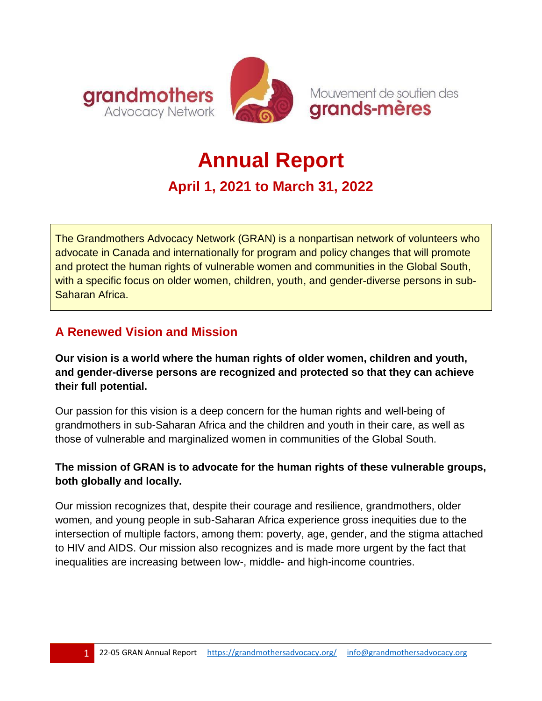

# **Annual Report**

# **April 1, 2021 to March 31, 2022**

The Grandmothers Advocacy Network (GRAN) is a nonpartisan network of volunteers who advocate in Canada and internationally for program and policy changes that will promote and protect the human rights of vulnerable women and communities in the Global South, with a specific focus on older women, children, youth, and gender-diverse persons in sub-Saharan Africa.

## **A Renewed Vision and Mission**

**Our vision is a world where the human rights of older women, children and youth, and gender-diverse persons are recognized and protected so that they can achieve their full potential.** 

Our passion for this vision is a deep concern for the human rights and well-being of grandmothers in sub-Saharan Africa and the children and youth in their care, as well as those of vulnerable and marginalized women in communities of the Global South.

#### **The mission of GRAN is to advocate for the human rights of these vulnerable groups, both globally and locally.**

Our mission recognizes that, despite their courage and resilience, grandmothers, older women, and young people in sub-Saharan Africa experience gross inequities due to the intersection of multiple factors, among them: poverty, age, gender, and the stigma attached to HIV and AIDS. Our mission also recognizes and is made more urgent by the fact that inequalities are increasing between low-, middle- and high-income countries.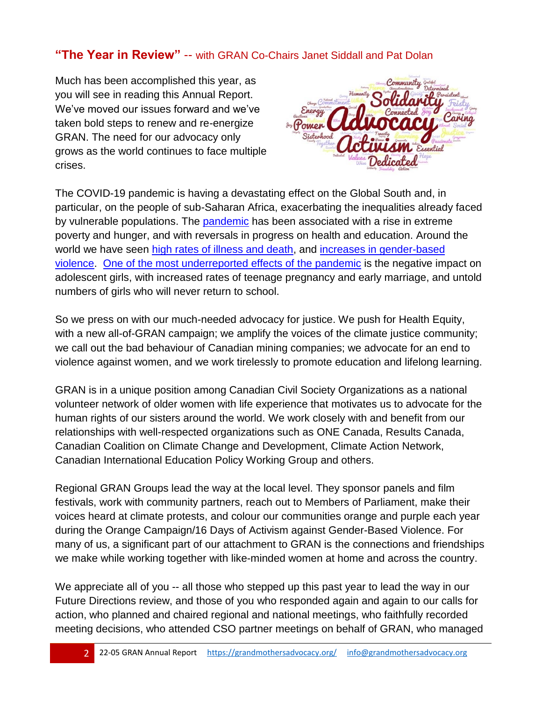#### **"The Year in Review"** -- with GRAN Co-Chairs Janet Siddall and Pat Dolan

Much has been accomplished this year, as you will see in reading this Annual Report. We've moved our issues forward and we've taken bold steps to renew and re-energize GRAN. The need for our advocacy only grows as the world continues to face multiple crises.



The COVID-19 pandemic is having a devastating effect on the Global South and, in particular, on the people of sub-Saharan Africa, exacerbating the inequalities already faced by vulnerable populations. The [pandemic](https://nam12.safelinks.protection.outlook.com/?url=https%3A%2F%2Fsdgs.un.org%2Fgoals&data=05%7C01%7C%7Cab7ff689263a44a48b0a08da34107d75%7C84df9e7fe9f640afb435aaaaaaaaaaaa%7C1%7C0%7C637879544716172953%7CUnknown%7CTWFpbGZsb3d8eyJWIjoiMC4wLjAwMDAiLCJQIjoiV2luMzIiLCJBTiI6Ik1haWwiLCJXVCI6Mn0%3D%7C3000%7C%7C%7C&sdata=lqawmEgldJLcaR0sWlxbBPmiV3SJ8%2BH1ii5HtCcdOtM%3D&reserved=0) has been associated with a rise in extreme poverty and hunger, and with reversals in progress on health and education. Around the world we have seen [high rates of illness and death,](https://nam12.safelinks.protection.outlook.com/?url=https%3A%2F%2Fwww.one.org%2Fafrica%2Fissues%2Fcovid-19-tracker%2F%230&data=05%7C01%7C%7Cab7ff689263a44a48b0a08da34107d75%7C84df9e7fe9f640afb435aaaaaaaaaaaa%7C1%7C0%7C637879544716172953%7CUnknown%7CTWFpbGZsb3d8eyJWIjoiMC4wLjAwMDAiLCJQIjoiV2luMzIiLCJBTiI6Ik1haWwiLCJXVCI6Mn0%3D%7C3000%7C%7C%7C&sdata=8PNWnwPjN9XDMxfYqAygPVc2wDg7PEFzdX6wmizkNN0%3D&reserved=0) and [increases in gender-based](https://nam12.safelinks.protection.outlook.com/?url=https%3A%2F%2Freliefweb.int%2Freport%2Fworld%2Fwho-concerned-over-covid-19-impact-women-girls-africa&data=05%7C01%7C%7Cab7ff689263a44a48b0a08da34107d75%7C84df9e7fe9f640afb435aaaaaaaaaaaa%7C1%7C0%7C637879544716172953%7CUnknown%7CTWFpbGZsb3d8eyJWIjoiMC4wLjAwMDAiLCJQIjoiV2luMzIiLCJBTiI6Ik1haWwiLCJXVCI6Mn0%3D%7C3000%7C%7C%7C&sdata=iUMd5ggGtwJWHckSwuHcHlSgYUBea9sCJ0s7yP5rBRU%3D&reserved=0)  [violence.](https://nam12.safelinks.protection.outlook.com/?url=https%3A%2F%2Freliefweb.int%2Freport%2Fworld%2Fwho-concerned-over-covid-19-impact-women-girls-africa&data=05%7C01%7C%7Cab7ff689263a44a48b0a08da34107d75%7C84df9e7fe9f640afb435aaaaaaaaaaaa%7C1%7C0%7C637879544716172953%7CUnknown%7CTWFpbGZsb3d8eyJWIjoiMC4wLjAwMDAiLCJQIjoiV2luMzIiLCJBTiI6Ik1haWwiLCJXVCI6Mn0%3D%7C3000%7C%7C%7C&sdata=iUMd5ggGtwJWHckSwuHcHlSgYUBea9sCJ0s7yP5rBRU%3D&reserved=0) [One of the most underreported effects of the pandemic](https://nam12.safelinks.protection.outlook.com/?url=https%3A%2F%2Fwww.ips-journal.eu%2Ftopics%2Fdemocracy-and-society%2Fafricas-lost-girls-5773%2F&data=05%7C01%7C%7Cab7ff689263a44a48b0a08da34107d75%7C84df9e7fe9f640afb435aaaaaaaaaaaa%7C1%7C0%7C637879544716172953%7CUnknown%7CTWFpbGZsb3d8eyJWIjoiMC4wLjAwMDAiLCJQIjoiV2luMzIiLCJBTiI6Ik1haWwiLCJXVCI6Mn0%3D%7C3000%7C%7C%7C&sdata=xenvrx9ZG%2Bhq10yP%2BO4haQQWRi7cpzAUzrAZw%2BmtVWM%3D&reserved=0) is the negative impact on adolescent girls, with increased rates of teenage pregnancy and early marriage, and untold numbers of girls who will never return to school.

So we press on with our much-needed advocacy for justice. We push for Health Equity, with a new all-of-GRAN campaign; we amplify the voices of the climate justice community; we call out the bad behaviour of Canadian mining companies; we advocate for an end to violence against women, and we work tirelessly to promote education and lifelong learning.

GRAN is in a unique position among Canadian Civil Society Organizations as a national volunteer network of older women with life experience that motivates us to advocate for the human rights of our sisters around the world. We work closely with and benefit from our relationships with well-respected organizations such as ONE Canada, Results Canada, Canadian Coalition on Climate Change and Development, Climate Action Network, Canadian International Education Policy Working Group and others.

Regional GRAN Groups lead the way at the local level. They sponsor panels and film festivals, work with community partners, reach out to Members of Parliament, make their voices heard at climate protests, and colour our communities orange and purple each year during the Orange Campaign/16 Days of Activism against Gender-Based Violence. For many of us, a significant part of our attachment to GRAN is the connections and friendships we make while working together with like-minded women at home and across the country.

We appreciate all of you -- all those who stepped up this past year to lead the way in our Future Directions review, and those of you who responded again and again to our calls for action, who planned and chaired regional and national meetings, who faithfully recorded meeting decisions, who attended CSO partner meetings on behalf of GRAN, who managed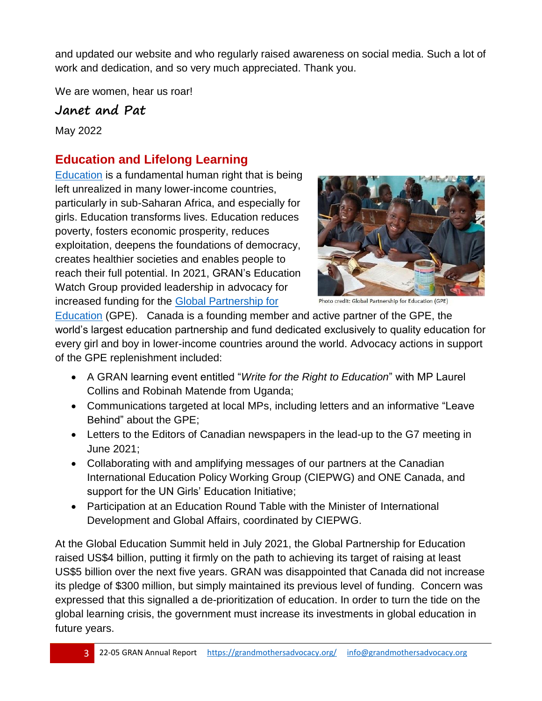and updated our website and who regularly raised awareness on social media. Such a lot of work and dedication, and so very much appreciated. Thank you.

We are women, hear us roar!

**Janet and Pat**

May 2022

# **Education and Lifelong Learning**

[Education](https://grandmothersadvocacy.org/campaigns/education) is a fundamental human right that is being left unrealized in many lower-income countries, particularly in sub-Saharan Africa, and especially for girls. Education transforms lives. Education reduces poverty, fosters economic prosperity, reduces exploitation, deepens the foundations of democracy, creates healthier societies and enables people to reach their full potential. In 2021, GRAN's Education Watch Group provided leadership in advocacy for increased funding for the Global [Partnership for](https://grandmothersadvocacy.org/system/files/resources/20-12%20GPE%20and%20Canada.pdf) 



Photo credit: Global Partnership for Education (GPE)

[Education](https://grandmothersadvocacy.org/system/files/resources/20-12%20GPE%20and%20Canada.pdf) (GPE). Canada is a founding member and active partner of the GPE, the world's largest education partnership and fund dedicated exclusively to quality education for every girl and boy in lower-income countries around the world. Advocacy actions in support of the GPE replenishment included:

- A GRAN learning event entitled "*Write for the Right to Education*" with MP Laurel Collins and Robinah Matende from Uganda;
- Communications targeted at local MPs, including letters and an informative "Leave Behind" about the GPE;
- Letters to the Editors of Canadian newspapers in the lead-up to the G7 meeting in June 2021;
- Collaborating with and amplifying messages of our partners at the Canadian International Education Policy Working Group (CIEPWG) and ONE Canada, and support for the UN Girls' Education Initiative;
- Participation at an Education Round Table with the Minister of International Development and Global Affairs, coordinated by CIEPWG.

At the Global Education Summit held in July 2021, the Global Partnership for Education raised US\$4 billion, putting it firmly on the path to achieving its target of raising at least US\$5 billion over the next five years. GRAN was disappointed that Canada did not increase its pledge of \$300 million, but simply maintained its previous level of funding. Concern was expressed that this signalled a de-prioritization of education. In order to turn the tide on the global learning crisis, the government must increase its investments in global education in future years.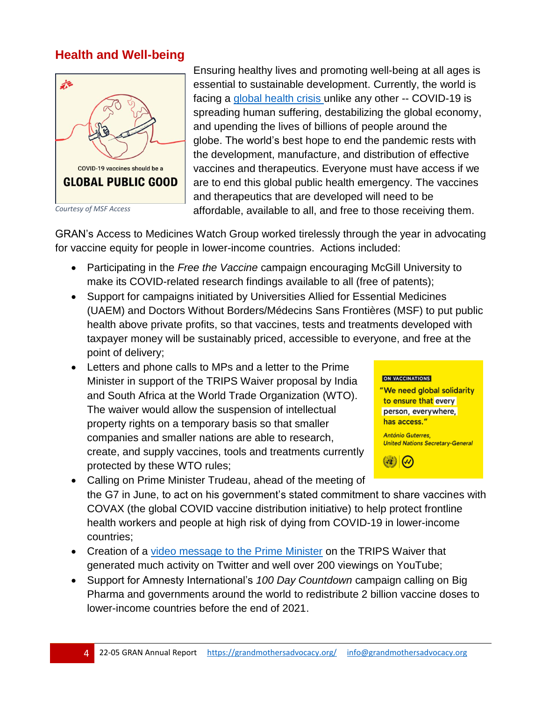#### **Health and Well-being**



*Courtesy of MSF Access*

Ensuring healthy lives and promoting well-being at all ages is essential to sustainable development. Currently, the world is facing a [global health crisis](https://www.un.org/coronavirus) unlike any other -- COVID-19 is spreading human suffering, destabilizing the global economy, and upending the lives of billions of people around the globe. The world's best hope to end the pandemic rests with the development, manufacture, and distribution of effective vaccines and therapeutics. Everyone must have access if we are to end this global public health emergency. The vaccines and therapeutics that are developed will need to be affordable, available to all, and free to those receiving them.

GRAN's Access to Medicines Watch Group worked tirelessly through the year in advocating for vaccine equity for people in lower-income countries. Actions included:

- Participating in the *Free the Vaccine* campaign encouraging McGill University to make its COVID-related research findings available to all (free of patents);
- Support for campaigns initiated by Universities Allied for Essential Medicines (UAEM) and Doctors Without Borders/Médecins Sans Frontières (MSF) to put public health above private profits, so that vaccines, tests and treatments developed with taxpayer money will be sustainably priced, accessible to everyone, and free at the point of delivery;
- Letters and phone calls to MPs and a letter to the Prime Minister in support of the TRIPS Waiver proposal by India and South Africa at the World Trade Organization (WTO). The waiver would allow the suspension of intellectual property rights on a temporary basis so that smaller companies and smaller nations are able to research, create, and supply vaccines, tools and treatments currently protected by these WTO rules;



- Calling on Prime Minister Trudeau, ahead of the meeting of the G7 in June, to act on his government's stated commitment to share vaccines with COVAX (the global COVID vaccine distribution initiative) to help protect frontline health workers and people at high risk of dying from COVID-19 in lower-income countries;
- Creation of a [video message to the Prime Minister](https://www.youtube.com/watch?v=LYrcbMtyoGE) on the TRIPS Waiver that generated much activity on Twitter and well over 200 viewings on YouTube;
- Support for Amnesty International's *100 Day Countdown* campaign calling on Big Pharma and governments around the world to redistribute 2 billion vaccine doses to lower-income countries before the end of 2021.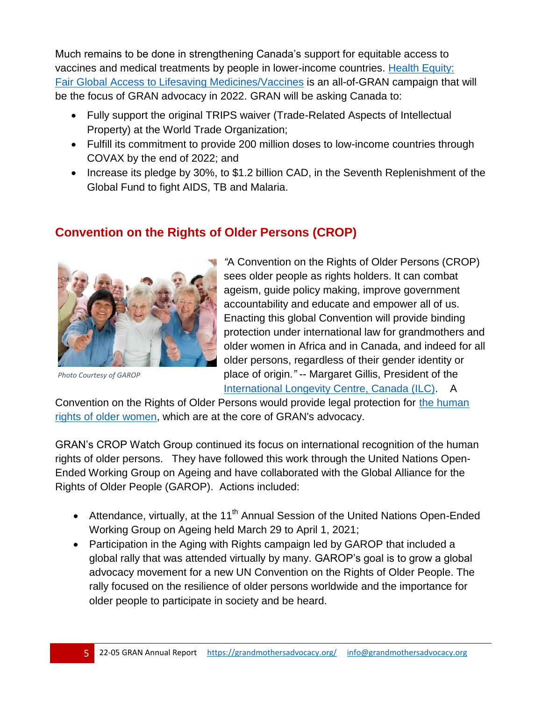Much remains to be done in strengthening Canada's support for equitable access to vaccines and medical treatments by people in lower-income countries. [Health Equity:](https://grandmothersadvocacy.org/system/files/resources/22-05%20Backgrounder%20Health%20Equity%5b2870%5d.pdf) [Fair Global Access to Lifesaving Medicines/Vaccines](https://grandmothersadvocacy.org/system/files/resources/22-05%20Backgrounder%20Health%20Equity%5b2870%5d.pdf) is an all-of-GRAN campaign that will be the focus of GRAN advocacy in 2022. GRAN will be asking Canada to:

- Fully support the original TRIPS waiver (Trade-Related Aspects of Intellectual Property) at the World Trade Organization;
- Fulfill its commitment to provide 200 million doses to low-income countries through COVAX by the end of 2022; and
- Increase its pledge by 30%, to \$1.2 billion CAD, in the Seventh Replenishment of the Global Fund to fight AIDS, TB and Malaria.

## **Convention on the Rights of Older Persons (CROP)**



*Photo Courtesy of GAROP*

*"*A Convention on the Rights of Older Persons (CROP) sees older people as rights holders. It can combat ageism, guide policy making, improve government accountability and educate and empower all of us. Enacting this global Convention will provide binding protection under international law for grandmothers and older women in Africa and in Canada, and indeed for all older persons, regardless of their gender identity or place of origin*."* -- Margaret Gillis, President of the [International Longevity Centre, Canada \(ILC\).](https://www.ilccanada.org/) A

Convention on the Rights of Older Persons would provide legal protection for [the human](https://grandmothersadvocacy.org/older-women-count)  [rights of older women,](https://grandmothersadvocacy.org/older-women-count) which are at the core of GRAN's advocacy.

GRAN's CROP Watch Group continued its focus on international recognition of the human rights of older persons. They have followed this work through the United Nations Open-Ended Working Group on Ageing and have collaborated with the Global Alliance for the Rights of Older People (GAROP). Actions included:

- Attendance, virtually, at the 11<sup>th</sup> Annual Session of the United Nations Open-Ended Working Group on Ageing held March 29 to April 1, 2021;
- Participation in the Aging with Rights campaign led by GAROP that included a global rally that was attended virtually by many. GAROP's goal is to grow a global advocacy movement for a new UN Convention on the Rights of Older People. The rally focused on the resilience of older persons worldwide and the importance for older people to participate in society and be heard.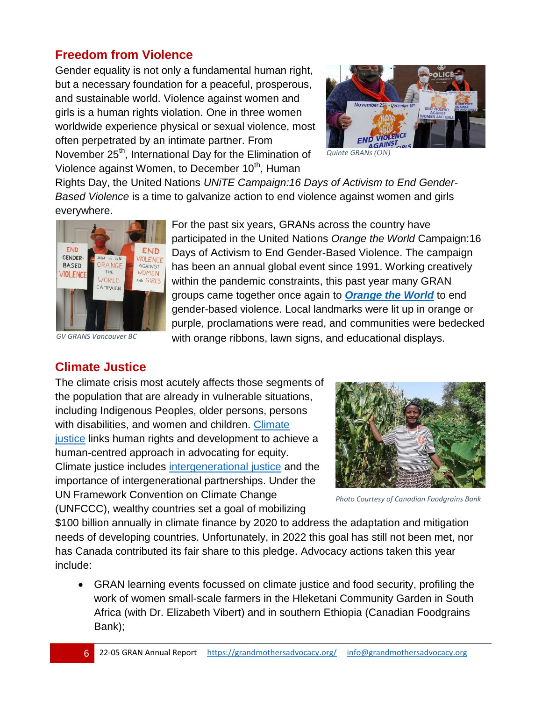## **Freedom from Violence**

Gender equality is not only a fundamental human right, but a necessary foundation for a peaceful, prosperous, and sustainable world. Violence against women and girls is a human rights violation. One in three women worldwide experience physical or sexual violence, most often perpetrated by an intimate partner. From November 25<sup>th</sup>, International Day for the Elimination of Violence against Women, to December 10<sup>th</sup>, Human



*Quinte GRANs (ON)*

Rights Day, the United Nations *UNiTE Campaign:16 Days of Activism to End Gender-Based Violence* is a time to galvanize action to end violence against women and girls everywhere.

For the past six years, GRANs across the country have

with orange ribbons, lawn signs, and educational displays.

participated in the United Nations *Orange the World* Campaign:16 Days of Activism to End Gender-Based Violence. The campaign has been an annual global event since 1991. Working creatively within the pandemic constraints, this past year many GRAN groups came together once again to *[Orange the World](https://grandmothersadvocacy.org/track/click/1298/551)* to end gender-based violence. Local landmarks were lit up in orange or purple, proclamations were read, and communities were bedecked



*GV GRANS Vancouver BC*

#### **Climate Justice**

The climate crisis most acutely affects those segments of the population that are already in vulnerable situations, including Indigenous Peoples, older persons, persons with disabilities, and women and children. Climate [justice](https://www.mrfcj.org/principles-of-climate-justice/) links human rights and development to achieve a human-centred approach in advocating for equity. Climate justice includes [intergenerational justice](https://www.un.org/sustainabledevelopment/blog/2019/05/climate-justice/) and the importance of intergenerational partnerships. Under the UN Framework Convention on Climate Change (UNFCCC), wealthy countries set a goal of mobilizing



*Photo Courtesy of Canadian Foodgrains Bank*

\$100 billion annually in climate finance by 2020 to address the adaptation and mitigation needs of developing countries. Unfortunately, in 2022 this goal has still not been met, nor has Canada contributed its fair share to this pledge. Advocacy actions taken this year include:

 GRAN learning events focussed on climate justice and food security, profiling the work of women small-scale farmers in the Hleketani Community Garden in South Africa (with Dr. Elizabeth Vibert) and in southern Ethiopia (Canadian Foodgrains Bank);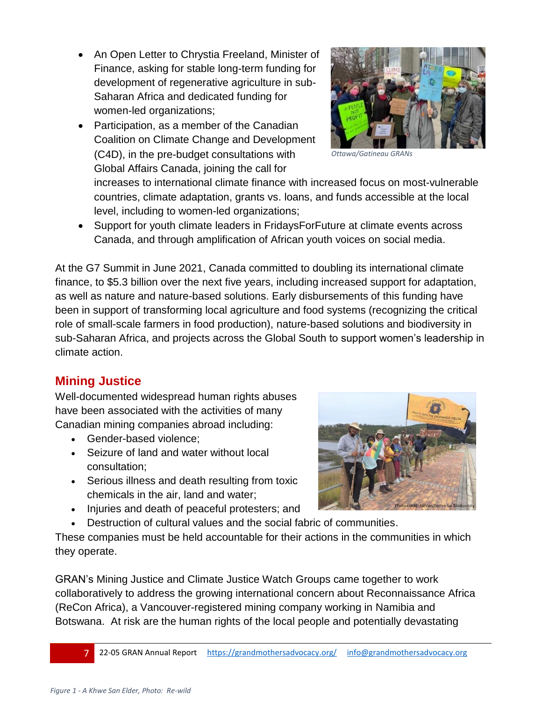- An Open Letter to Chrystia Freeland, Minister of Finance, asking for stable long-term funding for development of regenerative agriculture in sub-Saharan Africa and dedicated funding for women-led organizations;
- Participation, as a member of the Canadian Coalition on Climate Change and Development (C4D), in the pre-budget consultations with Global Affairs Canada, joining the call for



*Ottawa/Gatineau GRANs*

increases to international climate finance with increased focus on most-vulnerable countries, climate adaptation, grants vs. loans, and funds accessible at the local level, including to women-led organizations;

 Support for youth climate leaders in FridaysForFuture at climate events across Canada, and through amplification of African youth voices on social media.

At the G7 Summit in June 2021, Canada committed to doubling its international climate finance, to \$5.3 billion over the next five years, including increased support for adaptation, as well as nature and nature-based solutions. Early disbursements of this funding have been in support of transforming local agriculture and food systems (recognizing the critical role of small-scale farmers in food production), nature-based solutions and biodiversity in sub-Saharan Africa, and projects across the Global South to support women's leadership in climate action.

## **Mining Justice**

Well-documented widespread human rights abuses have been associated with the activities of many Canadian mining companies abroad including:

- Gender-based violence;
- Seizure of land and water without local consultation;
- Serious illness and death resulting from toxic chemicals in the air, land and water;
- Injuries and death of peaceful protesters; and
- Destruction of cultural values and the social fabric of communities.

These companies must be held accountable for their actions in the communities in which they operate.

GRAN's Mining Justice and Climate Justice Watch Groups came together to work collaboratively to address the growing international concern about Reconnaissance Africa (ReCon Africa), a Vancouver-registered mining company working in Namibia and Botswana. At risk are the human rights of the local people and potentially devastating

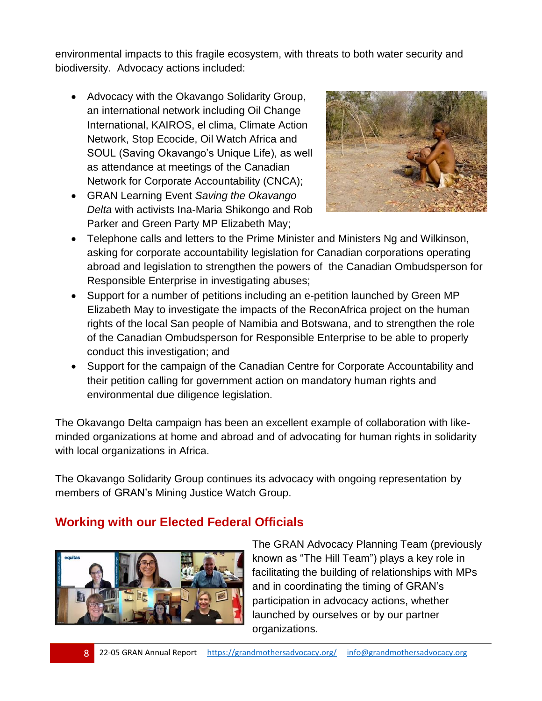environmental impacts to this fragile ecosystem, with threats to both water security and biodiversity. Advocacy actions included:

- Advocacy with the Okavango Solidarity Group, an international network including Oil Change International, KAIROS, el clima, Climate Action Network, Stop Ecocide, Oil Watch Africa and SOUL (Saving Okavango's Unique Life), as well as attendance at meetings of the Canadian Network for Corporate Accountability (CNCA);
- GRAN Learning Event *Saving the Okavango Delta* with activists Ina-Maria Shikongo and Rob Parker and Green Party MP Elizabeth May;



- Telephone calls and letters to the Prime Minister and Ministers Ng and Wilkinson, asking for corporate accountability legislation for Canadian corporations operating abroad and legislation to strengthen the powers of the Canadian Ombudsperson for Responsible Enterprise in investigating abuses;
- Support for a number of petitions including an e-petition launched by Green MP Elizabeth May to investigate the impacts of the ReconAfrica project on the human rights of the local San people of Namibia and Botswana, and to strengthen the role of the Canadian Ombudsperson for Responsible Enterprise to be able to properly conduct this investigation; and
- Support for the campaign of the Canadian Centre for Corporate Accountability and their petition calling for government action on mandatory human rights and environmental due diligence legislation.

The Okavango Delta campaign has been an excellent example of collaboration with likeminded organizations at home and abroad and of advocating for human rights in solidarity with local organizations in Africa.

The Okavango Solidarity Group continues its advocacy with ongoing representation by members of GRAN's Mining Justice Watch Group.

## **Working with our Elected Federal Officials**



The GRAN Advocacy Planning Team (previously known as "The Hill Team") plays a key role in facilitating the building of relationships with MPs and in coordinating the timing of GRAN's participation in advocacy actions, whether launched by ourselves or by our partner organizations.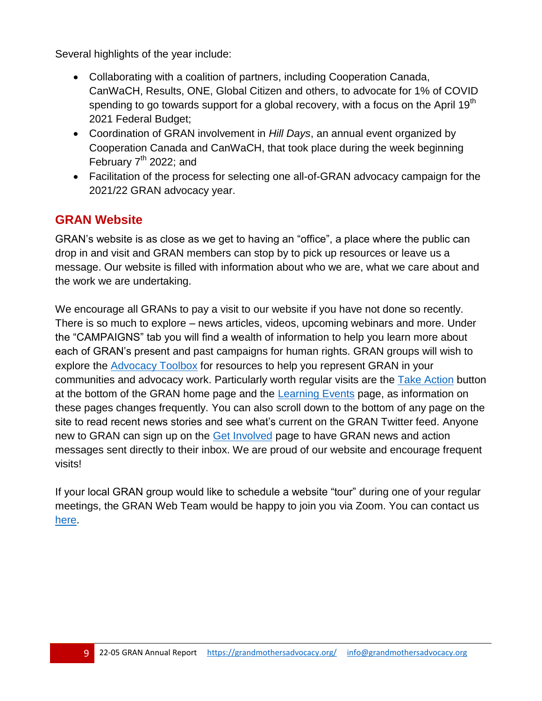Several highlights of the year include:

- Collaborating with a coalition of partners, including Cooperation Canada, CanWaCH, Results, ONE, Global Citizen and others, to advocate for 1% of COVID spending to go towards support for a global recovery, with a focus on the April 19<sup>th</sup> 2021 Federal Budget;
- Coordination of GRAN involvement in *Hill Days*, an annual event organized by Cooperation Canada and CanWaCH, that took place during the week beginning February  $7<sup>th</sup>$  2022; and
- Facilitation of the process for selecting one all-of-GRAN advocacy campaign for the 2021/22 GRAN advocacy year.

#### **GRAN Website**

GRAN's website is as close as we get to having an "office", a place where the public can drop in and visit and GRAN members can stop by to pick up resources or leave us a message. Our website is filled with information about who we are, what we care about and the work we are undertaking.

We encourage all GRANs to pay a visit to our website if you have not done so recently. There is so much to explore – news articles, videos, upcoming webinars and more. Under the "CAMPAIGNS" tab you will find a wealth of information to help you learn more about each of GRAN's present and past campaigns for human rights. GRAN groups will wish to explore the [Advocacy Toolbox](https://grandmothersadvocacy.org/advocacy-toolbox) for resources to help you represent GRAN in your communities and advocacy work. Particularly worth regular visits are the [Take Action](https://grandmothersadvocacy.org/gran-actions) button at the bottom of the GRAN home page and the [Learning Events](https://grandmothersadvocacy.org/getting-know-gran-issues) page, as information on these pages changes frequently. You can also scroll down to the bottom of any page on the site to read recent news stories and see what's current on the GRAN Twitter feed. Anyone new to GRAN can sign up on the [Get Involved](https://grandmothersadvocacy.org/ways-get-involved) page to have GRAN news and action messages sent directly to their inbox. We are proud of our website and encourage frequent visits!

If your local GRAN group would like to schedule a website "tour" during one of your regular meetings, the GRAN Web Team would be happy to join you via Zoom. You can contact us [here.](mailto:info@grandmothersadvocacy.org)